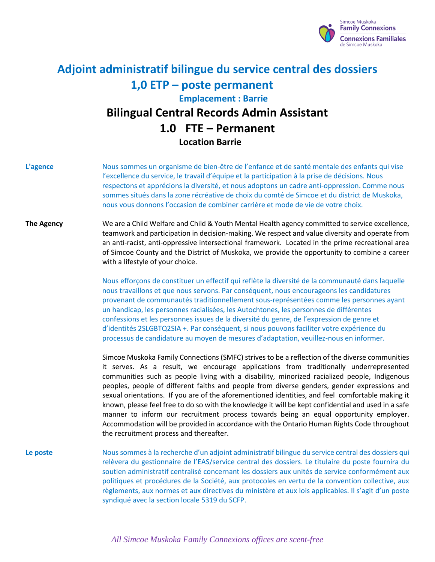

# **Adjoint administratif bilingue du service central des dossiers 1,0 ETP – poste permanent Emplacement : Barrie Bilingual Central Records Admin Assistant 1.0 FTE – Permanent Location Barrie**

**L'agence** Nous sommes un organisme de bien-être de l'enfance et de santé mentale des enfants qui vise l'excellence du service, le travail d'équipe et la participation à la prise de décisions. Nous respectons et apprécions la diversité, et nous adoptons un cadre anti-oppression. Comme nous sommes situés dans la zone récréative de choix du comté de Simcoe et du district de Muskoka, nous vous donnons l'occasion de combiner carrière et mode de vie de votre choix.

## **The Agency** We are a Child Welfare and Child & Youth Mental Health agency committed to service excellence, teamwork and participation in decision-making. We respect and value diversity and operate from an anti-racist, anti-oppressive intersectional framework. Located in the prime recreational area of Simcoe County and the District of Muskoka, we provide the opportunity to combine a career with a lifestyle of your choice.

Nous efforçons de constituer un effectif qui reflète la diversité de la communauté dans laquelle nous travaillons et que nous servons. Par conséquent, nous encourageons les candidatures provenant de communautés traditionnellement sous-représentées comme les personnes ayant un handicap, les personnes racialisées, les Autochtones, les personnes de différentes confessions et les personnes issues de la diversité du genre, de l'expression de genre et d'identités 2SLGBTQ2SIA +. Par conséquent, si nous pouvons faciliter votre expérience du processus de candidature au moyen de mesures d'adaptation, veuillez-nous en informer.

Simcoe Muskoka Family Connections (SMFC) strives to be a reflection of the diverse communities it serves. As a result, we encourage applications from traditionally underrepresented communities such as people living with a disability, minorized racialized people, Indigenous peoples, people of different faiths and people from diverse genders, gender expressions and sexual orientations. If you are of the aforementioned identities, and feel comfortable making it known, please feel free to do so with the knowledge it will be kept confidential and used in a safe manner to inform our recruitment process towards being an equal opportunity employer. Accommodation will be provided in accordance with the Ontario Human Rights Code throughout the recruitment process and thereafter.

**Le poste** Nous sommes à la recherche d'un adjoint administratif bilingue du service central des dossiers qui relèvera du gestionnaire de l'EAS/service central des dossiers. Le titulaire du poste fournira du soutien administratif centralisé concernant les dossiers aux unités de service conformément aux politiques et procédures de la Société, aux protocoles en vertu de la convention collective, aux règlements, aux normes et aux directives du ministère et aux lois applicables. Il s'agit d'un poste syndiqué avec la section locale 5319 du SCFP.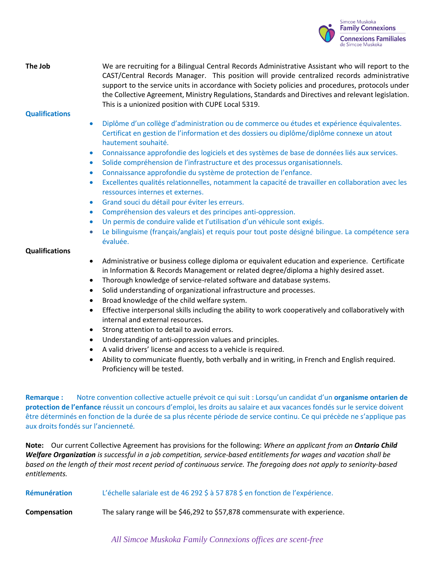

# **The Job** We are recruiting for a Bilingual Central Records Administrative Assistant who will report to the CAST/Central Records Manager. This position will provide centralized records administrative support to the service units in accordance with Society policies and procedures, protocols under the Collective Agreement, Ministry Regulations, Standards and Directives and relevant legislation. This is a unionized position with CUPE Local 5319.

### **Qualifications**

- Diplôme d'un collège d'administration ou de commerce ou études et expérience équivalentes. Certificat en gestion de l'information et des dossiers ou diplôme/diplôme connexe un atout hautement souhaité.
- Connaissance approfondie des logiciels et des systèmes de base de données liés aux services.
- Solide compréhension de l'infrastructure et des processus organisationnels.
- Connaissance approfondie du système de protection de l'enfance.
- Excellentes qualités relationnelles, notamment la capacité de travailler en collaboration avec les ressources internes et externes.
- Grand souci du détail pour éviter les erreurs.
- Compréhension des valeurs et des principes anti-oppression.
- Un permis de conduire valide et l'utilisation d'un véhicule sont exigés.
- Le bilinguisme (français/anglais) et requis pour tout poste désigné bilingue. La compétence sera évaluée.

#### **Qualifications**

- Administrative or business college diploma or equivalent education and experience. Certificate in Information & Records Management or related degree/diploma a highly desired asset.
- Thorough knowledge of service-related software and database systems.
- Solid understanding of organizational infrastructure and processes.
- Broad knowledge of the child welfare system.
- Effective interpersonal skills including the ability to work cooperatively and collaboratively with internal and external resources.
- Strong attention to detail to avoid errors.
- Understanding of anti-oppression values and principles.
- A valid drivers' license and access to a vehicle is required.
- Ability to communicate fluently, both verbally and in writing, in French and English required. Proficiency will be tested.

**Remarque :** Notre convention collective actuelle prévoit ce qui suit : Lorsqu'un candidat d'un **organisme ontarien de protection de l'enfance** réussit un concours d'emploi, les droits au salaire et aux vacances fondés sur le service doivent être déterminés en fonction de la durée de sa plus récente période de service continu. Ce qui précède ne s'applique pas aux droits fondés sur l'ancienneté*.*

**Note:** Our current Collective Agreement has provisions for the following: *Where an applicant from an Ontario Child Welfare Organization is successful in a job competition, service-based entitlements for wages and vacation shall be based on the length of their most recent period of continuous service. The foregoing does not apply to seniority-based entitlements.*

**Compensation** The salary range will be \$46,292 to \$57,878 commensurate with experience.